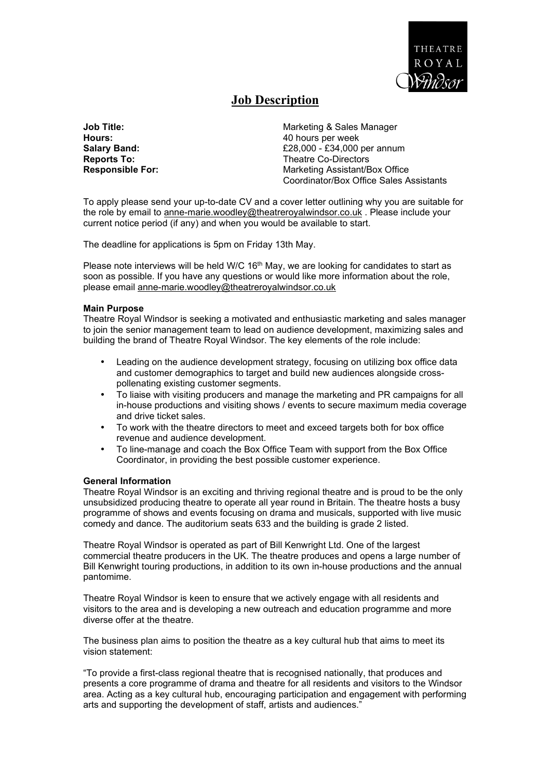

# **Job Description**

**Job Title: Marketing & Sales Manager** Marketing & Sales Manager **Hours:** 40 hours per week **Salary Band: E28,000 - £34,000 per annum**<br> **Reports To:** Theatre Co-Directors **Theatre Co-Directors Responsible For:** Marketing Assistant/Box Office Coordinator/Box Office Sales Assistants

To apply please send your up-to-date CV and a cover letter outlining why you are suitable for the role by email to anne-marie.woodley@theatreroyalwindsor.co.uk . Please include your current notice period (if any) and when you would be available to start.

The deadline for applications is 5pm on Friday 13th May.

Please note interviews will be held W/C  $16<sup>th</sup>$  May, we are looking for candidates to start as soon as possible. If you have any questions or would like more information about the role, please email anne-marie.woodley@theatreroyalwindsor.co.uk

### **Main Purpose**

Theatre Royal Windsor is seeking a motivated and enthusiastic marketing and sales manager to join the senior management team to lead on audience development, maximizing sales and building the brand of Theatre Royal Windsor. The key elements of the role include:

- Leading on the audience development strategy, focusing on utilizing box office data and customer demographics to target and build new audiences alongside crosspollenating existing customer segments.
- To liaise with visiting producers and manage the marketing and PR campaigns for all in-house productions and visiting shows / events to secure maximum media coverage and drive ticket sales.
- To work with the theatre directors to meet and exceed targets both for box office revenue and audience development.
- To line-manage and coach the Box Office Team with support from the Box Office Coordinator, in providing the best possible customer experience.

#### **General Information**

Theatre Royal Windsor is an exciting and thriving regional theatre and is proud to be the only unsubsidized producing theatre to operate all year round in Britain. The theatre hosts a busy programme of shows and events focusing on drama and musicals, supported with live music comedy and dance. The auditorium seats 633 and the building is grade 2 listed.

Theatre Royal Windsor is operated as part of Bill Kenwright Ltd. One of the largest commercial theatre producers in the UK. The theatre produces and opens a large number of Bill Kenwright touring productions, in addition to its own in-house productions and the annual pantomime.

Theatre Royal Windsor is keen to ensure that we actively engage with all residents and visitors to the area and is developing a new outreach and education programme and more diverse offer at the theatre.

The business plan aims to position the theatre as a key cultural hub that aims to meet its vision statement:

"To provide a first-class regional theatre that is recognised nationally, that produces and presents a core programme of drama and theatre for all residents and visitors to the Windsor area. Acting as a key cultural hub, encouraging participation and engagement with performing arts and supporting the development of staff, artists and audiences."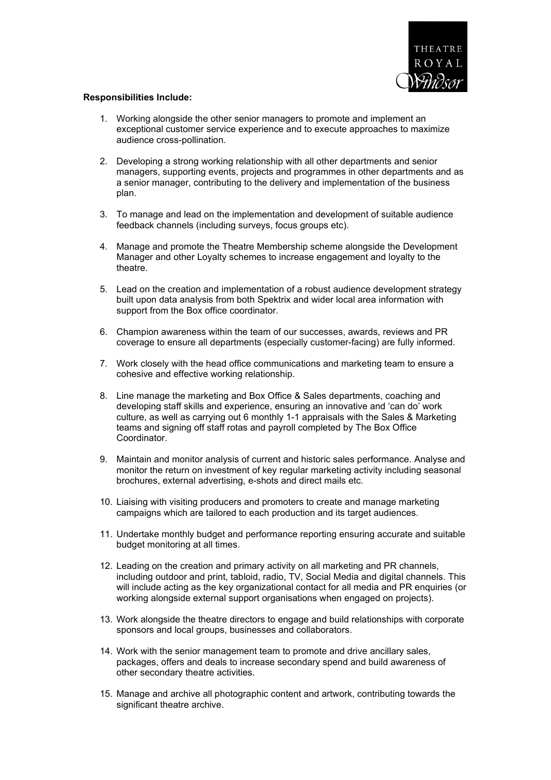

#### **Responsibilities Include:**

- 1. Working alongside the other senior managers to promote and implement an exceptional customer service experience and to execute approaches to maximize audience cross-pollination.
- 2. Developing a strong working relationship with all other departments and senior managers, supporting events, projects and programmes in other departments and as a senior manager, contributing to the delivery and implementation of the business plan.
- 3. To manage and lead on the implementation and development of suitable audience feedback channels (including surveys, focus groups etc).
- 4. Manage and promote the Theatre Membership scheme alongside the Development Manager and other Loyalty schemes to increase engagement and loyalty to the theatre.
- 5. Lead on the creation and implementation of a robust audience development strategy built upon data analysis from both Spektrix and wider local area information with support from the Box office coordinator.
- 6. Champion awareness within the team of our successes, awards, reviews and PR coverage to ensure all departments (especially customer-facing) are fully informed.
- 7. Work closely with the head office communications and marketing team to ensure a cohesive and effective working relationship.
- 8. Line manage the marketing and Box Office & Sales departments, coaching and developing staff skills and experience, ensuring an innovative and 'can do' work culture, as well as carrying out 6 monthly 1-1 appraisals with the Sales & Marketing teams and signing off staff rotas and payroll completed by The Box Office Coordinator.
- 9. Maintain and monitor analysis of current and historic sales performance. Analyse and monitor the return on investment of key regular marketing activity including seasonal brochures, external advertising, e-shots and direct mails etc.
- 10. Liaising with visiting producers and promoters to create and manage marketing campaigns which are tailored to each production and its target audiences.
- 11. Undertake monthly budget and performance reporting ensuring accurate and suitable budget monitoring at all times.
- 12. Leading on the creation and primary activity on all marketing and PR channels, including outdoor and print, tabloid, radio, TV, Social Media and digital channels. This will include acting as the key organizational contact for all media and PR enquiries (or working alongside external support organisations when engaged on projects).
- 13. Work alongside the theatre directors to engage and build relationships with corporate sponsors and local groups, businesses and collaborators.
- 14. Work with the senior management team to promote and drive ancillary sales, packages, offers and deals to increase secondary spend and build awareness of other secondary theatre activities.
- 15. Manage and archive all photographic content and artwork, contributing towards the significant theatre archive.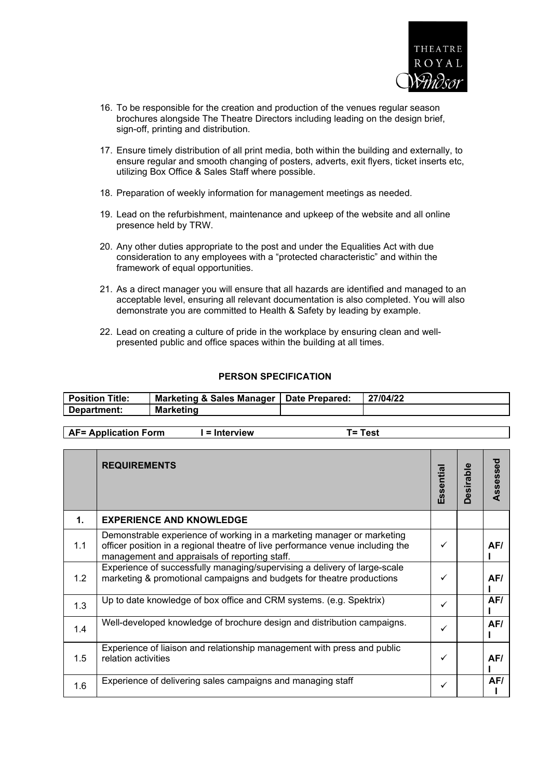

- 16. To be responsible for the creation and production of the venues regular season brochures alongside The Theatre Directors including leading on the design brief, sign-off, printing and distribution.
- 17. Ensure timely distribution of all print media, both within the building and externally, to ensure regular and smooth changing of posters, adverts, exit flyers, ticket inserts etc, utilizing Box Office & Sales Staff where possible.
- 18. Preparation of weekly information for management meetings as needed.
- 19. Lead on the refurbishment, maintenance and upkeep of the website and all online presence held by TRW.
- 20. Any other duties appropriate to the post and under the Equalities Act with due consideration to any employees with a "protected characteristic" and within the framework of equal opportunities.
- 21. As a direct manager you will ensure that all hazards are identified and managed to an acceptable level, ensuring all relevant documentation is also completed. You will also demonstrate you are committed to Health & Safety by leading by example.
- 22. Lead on creating a culture of pride in the workplace by ensuring clean and wellpresented public and office spaces within the building at all times.

## **PERSON SPECIFICATION**

| <b>Position Title:</b> | Marketing & Sales Manager   Date Prepared: | 27/04/22 |
|------------------------|--------------------------------------------|----------|
| Department:            | <b>Marketing</b>                           |          |
|                        |                                            |          |

|                | <b>REQUIREMENTS</b>                                                                                                                                                                                       | Essentia | <b>Desirable</b> | Assessed |
|----------------|-----------------------------------------------------------------------------------------------------------------------------------------------------------------------------------------------------------|----------|------------------|----------|
| $\mathbf{1}$ . | <b>EXPERIENCE AND KNOWLEDGE</b>                                                                                                                                                                           |          |                  |          |
| 1.1            | Demonstrable experience of working in a marketing manager or marketing<br>officer position in a regional theatre of live performance venue including the<br>management and appraisals of reporting staff. |          |                  | AF/      |
| 1.2            | Experience of successfully managing/supervising a delivery of large-scale<br>marketing & promotional campaigns and budgets for theatre productions                                                        |          |                  | AF/      |
| 1.3            | Up to date knowledge of box office and CRM systems. (e.g. Spektrix)                                                                                                                                       | ✓        |                  | AF/      |
| 1.4            | Well-developed knowledge of brochure design and distribution campaigns.                                                                                                                                   | ✓        |                  | AF/      |
| 1.5            | Experience of liaison and relationship management with press and public<br>relation activities                                                                                                            | ✓        |                  | AF/      |
| 1.6            | Experience of delivering sales campaigns and managing staff                                                                                                                                               | ✓        |                  | AF/      |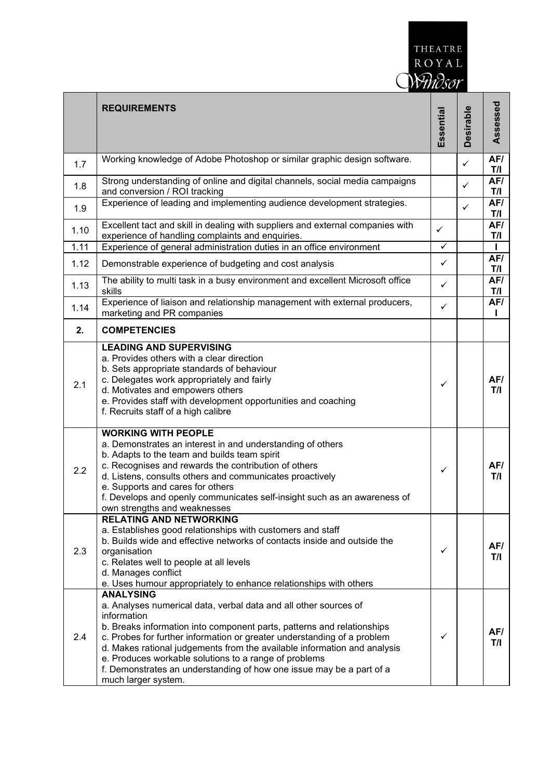

|      | <b>REQUIREMENTS</b>                                                                                                                                                                                                                                                                                                                                                                                                                                                                          | Essential    | <b>Desirable</b> | Assessed   |
|------|----------------------------------------------------------------------------------------------------------------------------------------------------------------------------------------------------------------------------------------------------------------------------------------------------------------------------------------------------------------------------------------------------------------------------------------------------------------------------------------------|--------------|------------------|------------|
| 1.7  | Working knowledge of Adobe Photoshop or similar graphic design software.                                                                                                                                                                                                                                                                                                                                                                                                                     |              | $\checkmark$     | AF/<br>T/I |
| 1.8  | Strong understanding of online and digital channels, social media campaigns<br>and conversion / ROI tracking                                                                                                                                                                                                                                                                                                                                                                                 |              | $\checkmark$     | AF/<br>T/I |
| 1.9  | Experience of leading and implementing audience development strategies.                                                                                                                                                                                                                                                                                                                                                                                                                      |              | $\checkmark$     | AF/<br>T/I |
| 1.10 | Excellent tact and skill in dealing with suppliers and external companies with<br>experience of handling complaints and enquiries.                                                                                                                                                                                                                                                                                                                                                           | $\checkmark$ |                  | AF/<br>T/I |
| 1.11 | Experience of general administration duties in an office environment                                                                                                                                                                                                                                                                                                                                                                                                                         | $\checkmark$ |                  | L          |
| 1.12 | Demonstrable experience of budgeting and cost analysis                                                                                                                                                                                                                                                                                                                                                                                                                                       | ✓            |                  | AF/<br>T/I |
| 1.13 | The ability to multi task in a busy environment and excellent Microsoft office<br>skills                                                                                                                                                                                                                                                                                                                                                                                                     | ✓            |                  | AF/<br>T/I |
| 1.14 | Experience of liaison and relationship management with external producers,<br>marketing and PR companies                                                                                                                                                                                                                                                                                                                                                                                     | ✓            |                  | AF/        |
| 2.   | <b>COMPETENCIES</b>                                                                                                                                                                                                                                                                                                                                                                                                                                                                          |              |                  |            |
| 2.1  | <b>LEADING AND SUPERVISING</b><br>a. Provides others with a clear direction<br>b. Sets appropriate standards of behaviour<br>c. Delegates work appropriately and fairly<br>d. Motivates and empowers others<br>e. Provides staff with development opportunities and coaching<br>f. Recruits staff of a high calibre                                                                                                                                                                          | ✓            |                  | AF/<br>T/I |
| 2.2  | <b>WORKING WITH PEOPLE</b><br>a. Demonstrates an interest in and understanding of others<br>b. Adapts to the team and builds team spirit<br>c. Recognises and rewards the contribution of others<br>d. Listens, consults others and communicates proactively<br>e. Supports and cares for others<br>f. Develops and openly communicates self-insight such as an awareness of<br>own strengths and weaknesses<br><b>RELATING AND NETWORKING</b>                                               | ✓            |                  | AF/<br>T/I |
| 2.3  | a. Establishes good relationships with customers and staff<br>b. Builds wide and effective networks of contacts inside and outside the<br>organisation<br>c. Relates well to people at all levels<br>d. Manages conflict<br>e. Uses humour appropriately to enhance relationships with others                                                                                                                                                                                                | $\checkmark$ |                  | AF/<br>T/I |
| 2.4  | <b>ANALYSING</b><br>a. Analyses numerical data, verbal data and all other sources of<br>information<br>b. Breaks information into component parts, patterns and relationships<br>c. Probes for further information or greater understanding of a problem<br>d. Makes rational judgements from the available information and analysis<br>e. Produces workable solutions to a range of problems<br>f. Demonstrates an understanding of how one issue may be a part of a<br>much larger system. | ✓            |                  | AF/<br>T/I |